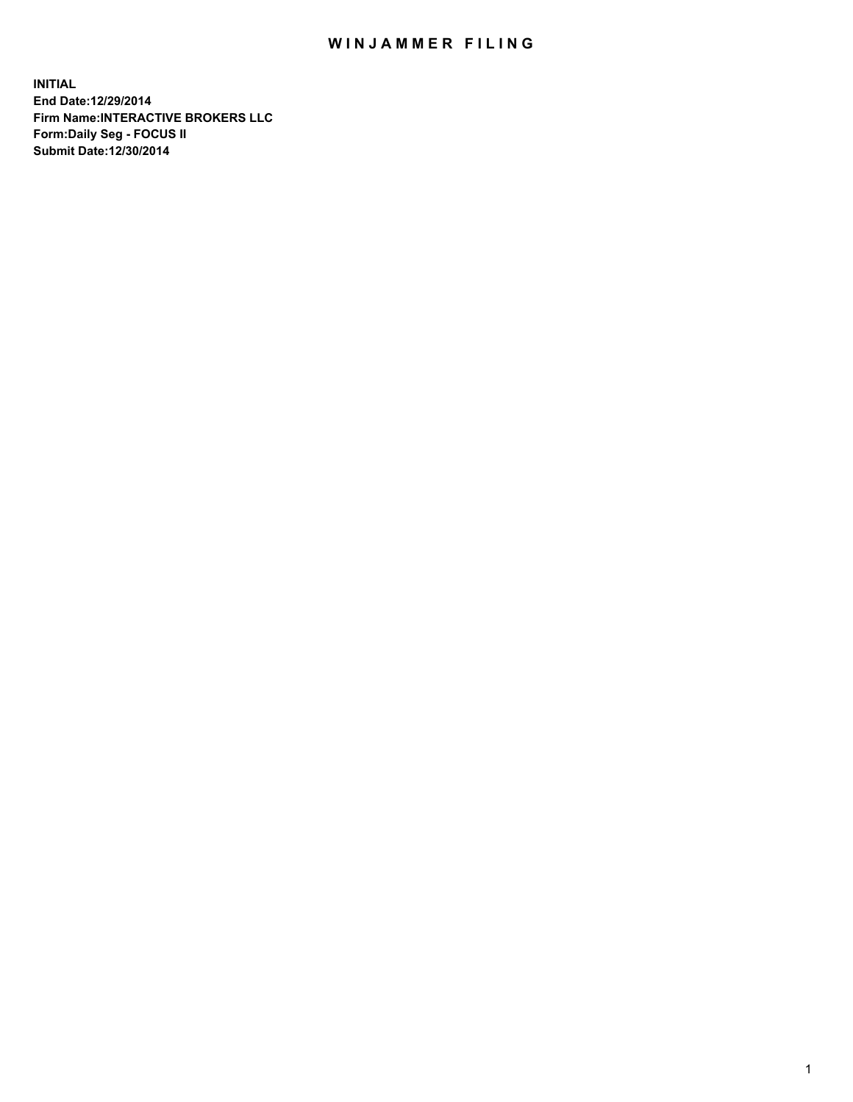## WIN JAMMER FILING

**INITIAL End Date:12/29/2014 Firm Name:INTERACTIVE BROKERS LLC Form:Daily Seg - FOCUS II Submit Date:12/30/2014**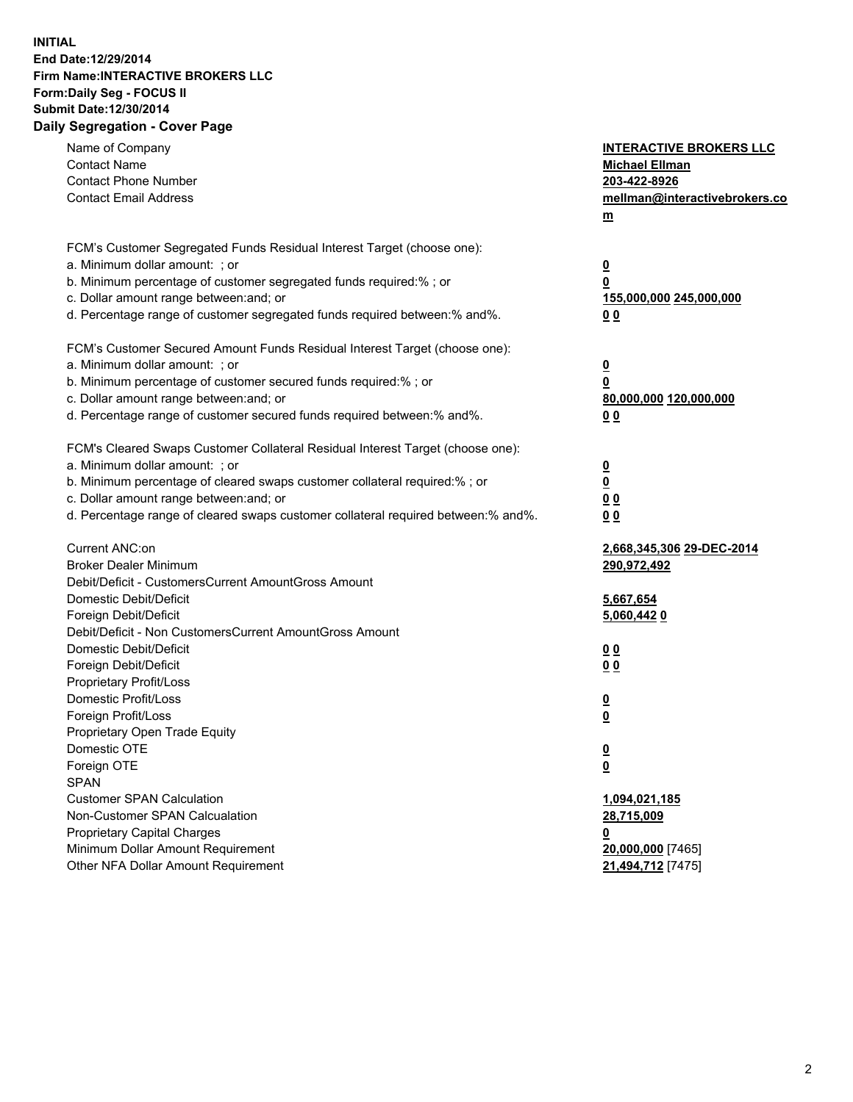## **INITIAL End Date:12/29/2014 Firm Name:INTERACTIVE BROKERS LLC Form:Daily Seg - FOCUS II Submit Date:12/30/2014 Daily Segregation - Cover Page**

| Name of Company<br><b>Contact Name</b><br><b>Contact Phone Number</b><br><b>Contact Email Address</b>                                                                                                                                                                                                                          | <b>INTERACTIVE BROKERS LLC</b><br><b>Michael Ellman</b><br>203-422-8926<br>mellman@interactivebrokers.co<br>$m$ |
|--------------------------------------------------------------------------------------------------------------------------------------------------------------------------------------------------------------------------------------------------------------------------------------------------------------------------------|-----------------------------------------------------------------------------------------------------------------|
| FCM's Customer Segregated Funds Residual Interest Target (choose one):<br>a. Minimum dollar amount: ; or<br>b. Minimum percentage of customer segregated funds required:% ; or<br>c. Dollar amount range between: and; or<br>d. Percentage range of customer segregated funds required between:% and%.                         | $\overline{\mathbf{0}}$<br>0<br>155,000,000 245,000,000<br>0 <sub>0</sub>                                       |
| FCM's Customer Secured Amount Funds Residual Interest Target (choose one):<br>a. Minimum dollar amount: ; or<br>b. Minimum percentage of customer secured funds required:% ; or<br>c. Dollar amount range between: and; or<br>d. Percentage range of customer secured funds required between:% and%.                           | $\overline{\mathbf{0}}$<br>0<br>80,000,000 120,000,000<br>0 <sub>0</sub>                                        |
| FCM's Cleared Swaps Customer Collateral Residual Interest Target (choose one):<br>a. Minimum dollar amount: ; or<br>b. Minimum percentage of cleared swaps customer collateral required:% ; or<br>c. Dollar amount range between: and; or<br>d. Percentage range of cleared swaps customer collateral required between:% and%. | $\overline{\mathbf{0}}$<br>$\underline{\mathbf{0}}$<br>0 <sub>0</sub><br>0 <sub>0</sub>                         |
| Current ANC:on<br><b>Broker Dealer Minimum</b><br>Debit/Deficit - CustomersCurrent AmountGross Amount<br>Domestic Debit/Deficit<br>Foreign Debit/Deficit                                                                                                                                                                       | 2,668,345,306 29-DEC-2014<br>290,972,492<br>5,667,654<br>5,060,4420                                             |
| Debit/Deficit - Non CustomersCurrent AmountGross Amount<br>Domestic Debit/Deficit<br>Foreign Debit/Deficit<br>Proprietary Profit/Loss<br>Domestic Profit/Loss<br>Foreign Profit/Loss                                                                                                                                           | 0 <sub>0</sub><br>0 <sub>0</sub><br>$\overline{\mathbf{0}}$<br>$\overline{\mathbf{0}}$                          |
| Proprietary Open Trade Equity<br>Domestic OTE<br>Foreign OTE<br><b>SPAN</b><br><b>Customer SPAN Calculation</b><br>Non-Customer SPAN Calcualation                                                                                                                                                                              | $\underline{\mathbf{0}}$<br><u>0</u><br>1,094,021,185                                                           |
| <b>Proprietary Capital Charges</b><br>Minimum Dollar Amount Requirement<br>Other NFA Dollar Amount Requirement                                                                                                                                                                                                                 | 28,715,009<br><u>0</u><br>20,000,000 [7465]<br>21,494,712 [7475]                                                |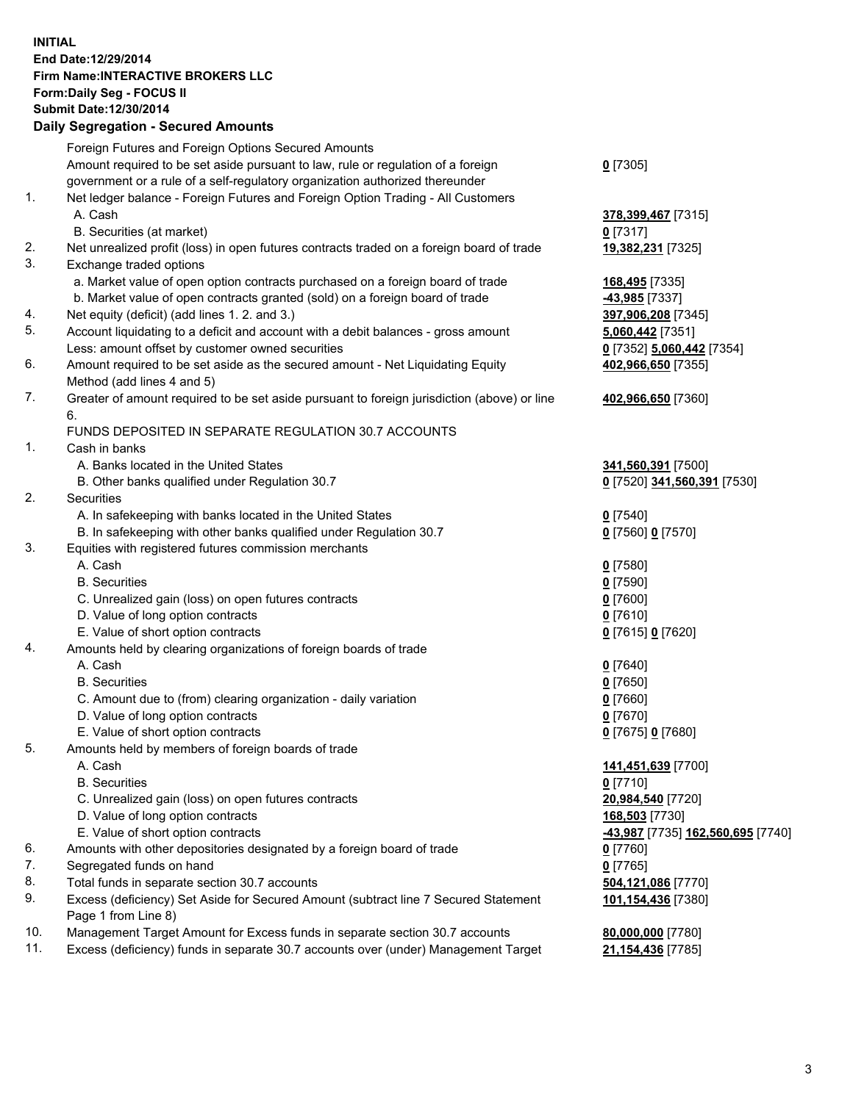## **INITIAL End Date:12/29/2014 Firm Name:INTERACTIVE BROKERS LLC Form:Daily Seg - FOCUS II Submit Date:12/30/2014 Daily Segregation - Secured Amounts**

|                | Daily Jegregation - Jeculed Aniounts                                                                       |                                   |
|----------------|------------------------------------------------------------------------------------------------------------|-----------------------------------|
|                | Foreign Futures and Foreign Options Secured Amounts                                                        |                                   |
|                | Amount required to be set aside pursuant to law, rule or regulation of a foreign                           | $0$ [7305]                        |
|                | government or a rule of a self-regulatory organization authorized thereunder                               |                                   |
| 1.             | Net ledger balance - Foreign Futures and Foreign Option Trading - All Customers                            |                                   |
|                | A. Cash                                                                                                    | 378,399,467 [7315]                |
|                | B. Securities (at market)                                                                                  | $0$ [7317]                        |
| 2.             | Net unrealized profit (loss) in open futures contracts traded on a foreign board of trade                  | 19,382,231 [7325]                 |
| 3.             | Exchange traded options                                                                                    |                                   |
|                | a. Market value of open option contracts purchased on a foreign board of trade                             | 168,495 [7335]                    |
|                | b. Market value of open contracts granted (sold) on a foreign board of trade                               | -43,985 [7337]                    |
| 4.             | Net equity (deficit) (add lines 1.2. and 3.)                                                               | 397,906,208 [7345]                |
| 5.             | Account liquidating to a deficit and account with a debit balances - gross amount                          | 5,060,442 [7351]                  |
|                | Less: amount offset by customer owned securities                                                           | 0 [7352] 5,060,442 [7354]         |
| 6.             | Amount required to be set aside as the secured amount - Net Liquidating Equity                             | 402,966,650 [7355]                |
|                | Method (add lines 4 and 5)                                                                                 |                                   |
| 7.             | Greater of amount required to be set aside pursuant to foreign jurisdiction (above) or line                | 402,966,650 [7360]                |
|                | 6.                                                                                                         |                                   |
|                | FUNDS DEPOSITED IN SEPARATE REGULATION 30.7 ACCOUNTS                                                       |                                   |
| 1 <sub>1</sub> | Cash in banks                                                                                              |                                   |
|                | A. Banks located in the United States                                                                      | 341,560,391 [7500]                |
|                | B. Other banks qualified under Regulation 30.7                                                             | 0 [7520] 341,560,391 [7530]       |
| 2.             | Securities                                                                                                 |                                   |
|                | A. In safekeeping with banks located in the United States                                                  | $0$ [7540]                        |
|                | B. In safekeeping with other banks qualified under Regulation 30.7                                         | 0 [7560] 0 [7570]                 |
| 3.             | Equities with registered futures commission merchants                                                      |                                   |
|                | A. Cash                                                                                                    | $0$ [7580]                        |
|                | <b>B.</b> Securities                                                                                       | $0$ [7590]                        |
|                | C. Unrealized gain (loss) on open futures contracts                                                        | $0$ [7600]                        |
|                | D. Value of long option contracts                                                                          | $0$ [7610]                        |
|                | E. Value of short option contracts                                                                         | 0 [7615] 0 [7620]                 |
| 4.             | Amounts held by clearing organizations of foreign boards of trade                                          |                                   |
|                | A. Cash                                                                                                    | $0$ [7640]                        |
|                | <b>B.</b> Securities                                                                                       | $0$ [7650]                        |
|                | C. Amount due to (from) clearing organization - daily variation                                            | $0$ [7660]                        |
|                | D. Value of long option contracts                                                                          | $0$ [7670]                        |
|                | E. Value of short option contracts                                                                         | 0 [7675] 0 [7680]                 |
| 5.             | Amounts held by members of foreign boards of trade                                                         |                                   |
|                | A. Cash                                                                                                    | 141,451,639 [7700]                |
|                | <b>B.</b> Securities                                                                                       | $0$ [7710]                        |
|                | C. Unrealized gain (loss) on open futures contracts                                                        | 20,984,540 [7720]                 |
|                | D. Value of long option contracts                                                                          | 168,503 [7730]                    |
|                | E. Value of short option contracts                                                                         | -43,987 [7735] 162,560,695 [7740] |
| 6.             | Amounts with other depositories designated by a foreign board of trade                                     | $0$ [7760]                        |
| 7.             | Segregated funds on hand                                                                                   | $0$ [7765]                        |
| 8.             | Total funds in separate section 30.7 accounts                                                              | 504,121,086 [7770]                |
| 9.             | Excess (deficiency) Set Aside for Secured Amount (subtract line 7 Secured Statement<br>Page 1 from Line 8) | 101,154,436 [7380]                |
| 10.            | Management Target Amount for Excess funds in separate section 30.7 accounts                                | 80,000,000 [7780]                 |
| 11.            | Excess (deficiency) funds in separate 30.7 accounts over (under) Management Target                         | 21,154,436 [7785]                 |
|                |                                                                                                            |                                   |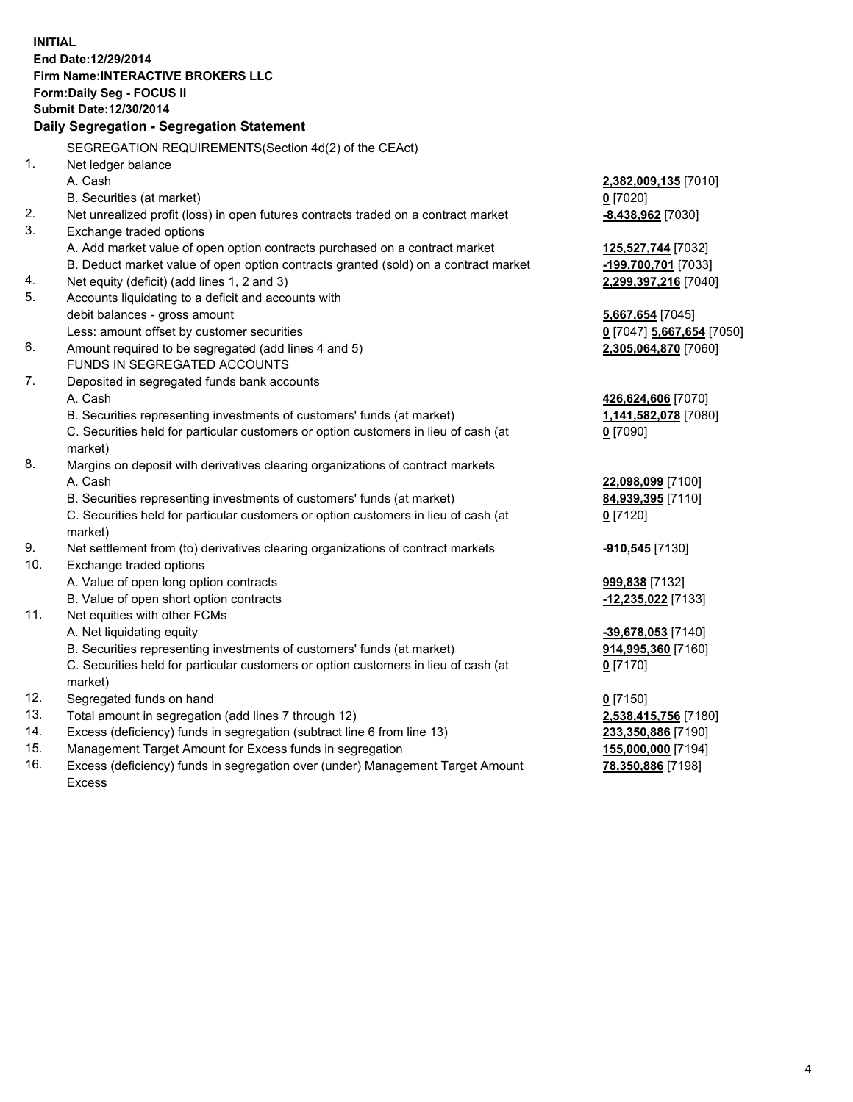**INITIAL End Date:12/29/2014 Firm Name:INTERACTIVE BROKERS LLC Form:Daily Seg - FOCUS II Submit Date:12/30/2014 Daily Segregation - Segregation Statement** SEGREGATION REQUIREMENTS(Section 4d(2) of the CEAct) 1. Net ledger balance A. Cash **2,382,009,135** [7010] B. Securities (at market) **0** [7020] 2. Net unrealized profit (loss) in open futures contracts traded on a contract market **-8,438,962** [7030] 3. Exchange traded options A. Add market value of open option contracts purchased on a contract market **125,527,744** [7032] B. Deduct market value of open option contracts granted (sold) on a contract market **-199,700,701** [7033] 4. Net equity (deficit) (add lines 1, 2 and 3) **2,299,397,216** [7040] 5. Accounts liquidating to a deficit and accounts with debit balances - gross amount **5,667,654** [7045] Less: amount offset by customer securities **0** [7047] **5,667,654** [7050] 6. Amount required to be segregated (add lines 4 and 5) **2,305,064,870** [7060] FUNDS IN SEGREGATED ACCOUNTS 7. Deposited in segregated funds bank accounts A. Cash **426,624,606** [7070] B. Securities representing investments of customers' funds (at market) **1,141,582,078** [7080] C. Securities held for particular customers or option customers in lieu of cash (at market) **0** [7090] 8. Margins on deposit with derivatives clearing organizations of contract markets A. Cash **22,098,099** [7100] B. Securities representing investments of customers' funds (at market) **84,939,395** [7110] C. Securities held for particular customers or option customers in lieu of cash (at market) **0** [7120] 9. Net settlement from (to) derivatives clearing organizations of contract markets **-910,545** [7130] 10. Exchange traded options A. Value of open long option contracts **999,838** [7132] B. Value of open short option contracts **-12,235,022** [7133] 11. Net equities with other FCMs A. Net liquidating equity **-39,678,053** [7140] B. Securities representing investments of customers' funds (at market) **914,995,360** [7160] C. Securities held for particular customers or option customers in lieu of cash (at market) **0** [7170] 12. Segregated funds on hand **0** [7150] 13. Total amount in segregation (add lines 7 through 12) **2,538,415,756** [7180] 14. Excess (deficiency) funds in segregation (subtract line 6 from line 13) **233,350,886** [7190] 15. Management Target Amount for Excess funds in segregation **155,000,000** [7194]

16. Excess (deficiency) funds in segregation over (under) Management Target Amount Excess

**78,350,886** [7198]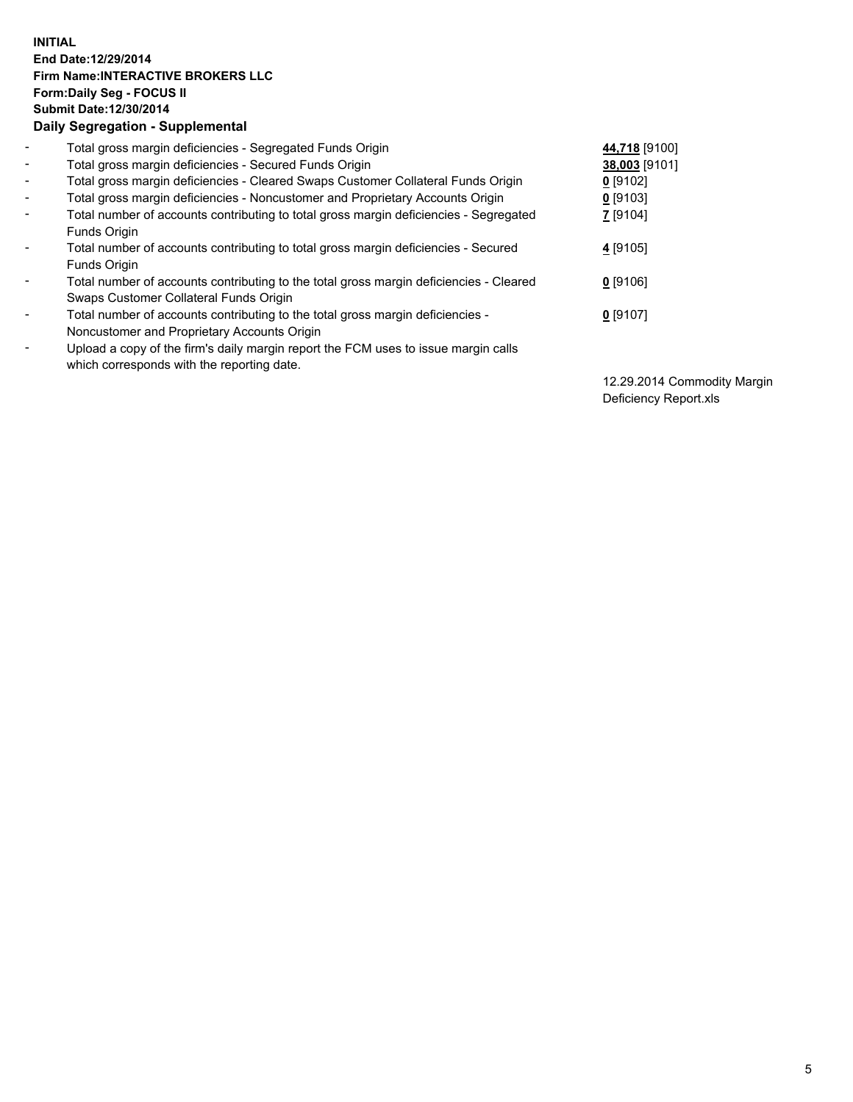## **INITIAL End Date:12/29/2014 Firm Name:INTERACTIVE BROKERS LLC Form:Daily Seg - FOCUS II Submit Date:12/30/2014 Daily Segregation - Supplemental**

| $\blacksquare$           | Total gross margin deficiencies - Segregated Funds Origin                              | 44,718 [9100]   |
|--------------------------|----------------------------------------------------------------------------------------|-----------------|
| $\blacksquare$           | Total gross margin deficiencies - Secured Funds Origin                                 | 38,003 [9101]   |
| $\blacksquare$           | Total gross margin deficiencies - Cleared Swaps Customer Collateral Funds Origin       | $0$ [9102]      |
| $\blacksquare$           | Total gross margin deficiencies - Noncustomer and Proprietary Accounts Origin          | $0$ [9103]      |
| $\blacksquare$           | Total number of accounts contributing to total gross margin deficiencies - Segregated  | <b>7</b> [9104] |
|                          | Funds Origin                                                                           |                 |
| $\blacksquare$           | Total number of accounts contributing to total gross margin deficiencies - Secured     | 4 [9105]        |
|                          | Funds Origin                                                                           |                 |
| $\blacksquare$           | Total number of accounts contributing to the total gross margin deficiencies - Cleared | $0$ [9106]      |
|                          | Swaps Customer Collateral Funds Origin                                                 |                 |
| $\blacksquare$           | Total number of accounts contributing to the total gross margin deficiencies -         | $0$ [9107]      |
|                          | Noncustomer and Proprietary Accounts Origin                                            |                 |
| $\overline{\phantom{a}}$ | Upload a copy of the firm's daily margin report the FCM uses to issue margin calls     |                 |
|                          | which corresponds with the reporting date.                                             |                 |

12.29.2014 Commodity Margin Deficiency Report.xls